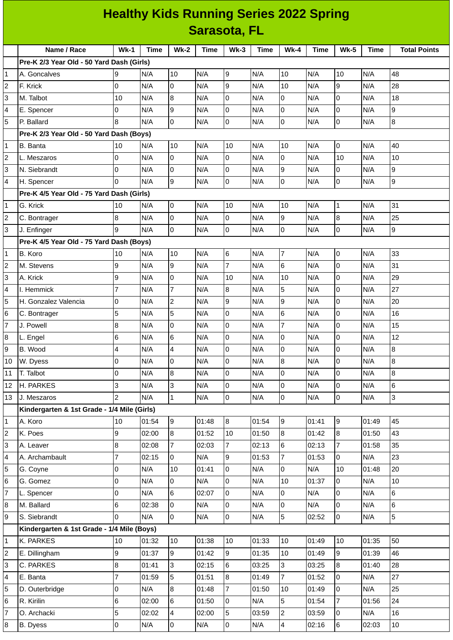## **Healthy Kids Running Series 2022 Spring Sarasota, FL**

|    | Name / Race                                 | $Wk-1$         | <b>Time</b> | <b>Wk-2</b>    | <b>Time</b> | $Wk-3$         | <b>Time</b> | $Wk-4$         | <b>Time</b> | <b>Wk-5</b>      | Time  | <b>Total Points</b> |
|----|---------------------------------------------|----------------|-------------|----------------|-------------|----------------|-------------|----------------|-------------|------------------|-------|---------------------|
|    | Pre-K 2/3 Year Old - 50 Yard Dash (Girls)   |                |             |                |             |                |             |                |             |                  |       |                     |
| 1  | A. Goncalves                                | 9              | N/A         | 10             | N/A         | 9              | N/A         | 10             | N/A         | 10               | N/A   | 48                  |
| 2  | F. Krick                                    | 0              | N/A         | 0              | N/A         | 9              | N/A         | 10             | N/A         | 9                | N/A   | 28                  |
| 3  | M. Talbot                                   | 10             | N/A         | $\bf{8}$       | N/A         | I٥             | N/A         | $\overline{0}$ | N/A         | $\mathsf 0$      | N/A   | 18                  |
| 4  | E. Spencer                                  | 0              | N/A         | 9              | N/A         | Iо             | N/A         | $\overline{0}$ | N/A         | $\mathsf 0$      | N/A   | l9                  |
| 5  | P. Ballard                                  | 8              | N/A         | $\overline{0}$ | N/A         | l0             | N/A         | $\overline{0}$ | N/A         | $\overline{0}$   | N/A   | $\overline{8}$      |
|    | Pre-K 2/3 Year Old - 50 Yard Dash (Boys)    |                |             |                |             |                |             |                |             |                  |       |                     |
| 1  | <b>B.</b> Banta                             | 10             | N/A         | 10             | N/A         | 10             | N/A         | 10             | N/A         | $\overline{0}$   | N/A   | 40                  |
| 2  | L. Meszaros                                 | 0              | N/A         | 0              | N/A         | 0              | N/A         | 0              | N/A         | 10               | N/A   | 10                  |
| 3  | N. Siebrandt                                | $\Omega$       | N/A         | $\mathsf 0$    | N/A         | I٥             | N/A         | 9              | N/A         | $\mathsf 0$      | N/A   | l9                  |
| 4  | H. Spencer                                  | $\Omega$       | N/A         | 9              | N/A         | lo             | N/A         | $\overline{0}$ | N/A         | 0                | N/A   | l9                  |
|    | Pre-K 4/5 Year Old - 75 Yard Dash (Girls)   |                |             |                |             |                |             |                |             |                  |       |                     |
| 1  | G. Krick                                    | 10             | N/A         | $\overline{0}$ | N/A         | 10             | N/A         | 10             | N/A         | $\mathbf 1$      | N/A   | 31                  |
| 2  | C. Bontrager                                | 8              | N/A         | $\overline{0}$ | N/A         | l0             | N/A         | $\overline{9}$ | N/A         | $\, 8$           | N/A   | 25                  |
| 3  | J. Enfinger                                 | 9              | N/A         | $\overline{0}$ | N/A         | $\overline{0}$ | N/A         | $\overline{0}$ | N/A         | 0                | N/A   | l9                  |
|    | Pre-K 4/5 Year Old - 75 Yard Dash (Boys)    |                |             |                |             |                |             |                |             |                  |       |                     |
| 1  | B. Koro                                     | 10             | N/A         | 10             | N/A         | 6              | N/A         | $\overline{7}$ | N/A         | $\mathsf 0$      | N/A   | 33                  |
| 2  | M. Stevens                                  | 9              | N/A         | 9              | N/A         | $\overline{7}$ | N/A         | 6              | N/A         | $\mathsf 0$      | N/A   | 31                  |
| 3  | A. Krick                                    | 9              | N/A         | 0              | N/A         | 10             | N/A         | 10             | N/A         | 0                | N/A   | 29                  |
| 4  | I. Hemmick                                  | $\overline{7}$ | N/A         | $\overline{7}$ | N/A         | $\overline{8}$ | N/A         | 5              | N/A         | $\mathsf 0$      | N/A   | 27                  |
| 5  | H. Gonzalez Valencia                        | 0              | N/A         | $\overline{c}$ | N/A         | l9             | N/A         | 9              | N/A         | $\mathsf 0$      | N/A   | 20                  |
| 6  | C. Bontrager                                | 5              | N/A         | 5              | N/A         | Iо             | N/A         | 6              | N/A         | $\mathsf 0$      | N/A   | 16                  |
| 7  | J. Powell                                   | 8              | N/A         | $\mathsf 0$    | N/A         | $\overline{0}$ | N/A         | $\overline{7}$ | N/A         | 0                | N/A   | 15                  |
| 8  | L. Engel                                    | 6              | N/A         | $6\phantom{.}$ | N/A         | Iо             | N/A         | 0              | N/A         | $\mathsf 0$      | N/A   | 12                  |
| 9  | B. Wood                                     | 4              | N/A         | 4              | N/A         | Iо             | N/A         | 0              | N/A         | $\mathsf 0$      | N/A   | $\overline{8}$      |
| 10 | W. Dyess                                    | 0              | N/A         | $\mathsf 0$    | N/A         | O              | N/A         | 8              | N/A         | 0                | N/A   | $\overline{8}$      |
| 11 | T. Talbot                                   | 0              | N/A         | 8              | N/A         | O              | N/A         | 0              | N/A         | 0                | N/A   | $\overline{8}$      |
| 12 | H. PARKES                                   | 3              | N/A         | $\overline{3}$ | N/A         | 0              | N/A         | $\overline{0}$ | N/A         | $\overline{0}$   | N/A   | 6                   |
| 13 | J. Meszaros                                 | $\overline{2}$ | N/A         | $\mathbf{1}$   | N/A         | l0             | N/A         | O              | N/A         | $\overline{0}$   | N/A   | $\overline{3}$      |
|    | Kindergarten & 1st Grade - 1/4 Mile (Girls) |                |             |                |             |                |             |                |             |                  |       |                     |
| 1  | A. Koro                                     | 10             | 01:54       | 9              | 01:48       | 8              | 01:54       | 9              | 01:41       | $\boldsymbol{9}$ | 01:49 | 45                  |
| 2  | K. Poes                                     | 9              | 02:00       | 8              | 01:52       | 10             | 01:50       | 8              | 01:42       | $\bf{8}$         | 01:50 | 43                  |
| 3  | A. Leaver                                   | 8              | 02:08       | $\overline{7}$ | 02:03       | $\overline{7}$ | 02:13       | 6              | 02:13       | $\overline{7}$   | 01:58 | 35                  |
| 4  | A. Archambault                              | $\overline{7}$ | 02:15       | 0              | N/A         | 9              | 01:53       | $\overline{7}$ | 01:53       | 0                | N/A   | 23                  |
| 5  | G. Coyne                                    | 0              | N/A         | 10             | 01:41       | 0              | N/A         | $\overline{0}$ | N/A         | 10               | 01:48 | 20                  |
| 6  | G. Gomez                                    | 0              | N/A         | $\overline{0}$ | N/A         | 0              | N/A         | 10             | 01:37       | $\overline{0}$   | N/A   | 10                  |
| 7  | L. Spencer                                  | 0              | N/A         | 6              | 02:07       | Iо             | N/A         | $\overline{0}$ | N/A         | 0                | N/A   | $\,6$               |
| 8  | M. Ballard                                  | 6              | 02:38       | $\overline{0}$ | N/A         | 0              | N/A         | $\overline{0}$ | N/A         | $\overline{0}$   | N/A   | 6                   |
| 9  | S. Siebrandt                                | $\Omega$       | N/A         | $\overline{0}$ | N/A         | l0             | N/A         | 5              | 02:52       | $\overline{0}$   | N/A   | $\overline{5}$      |
|    | Kindergarten & 1st Grade - 1/4 Mile (Boys)  |                |             |                |             |                |             |                |             |                  |       |                     |
|    | K. PARKES                                   | 10             | 01:32       | 10             | 01:38       | 10             | 01:33       | 10             | 01:49       | 10               | 01:35 | 50                  |
| 1  |                                             | 9              | 01:37       | 9              | 01:42       | g              | 01:35       | 10             | 01:49       | $\overline{9}$   | 01:39 | 46                  |
| 2  | E. Dillingham                               |                |             |                |             |                |             |                |             |                  |       |                     |
| 3  | C. PARKES                                   | 8              | 01:41       | 3              | 02:15       | 6              | 03:25       | $\overline{3}$ | 03:25       | 8                | 01:40 | 28                  |
| 4  | E. Banta                                    | 7              | 01:59       | 5              | 01:51       | 8              | 01:49       | $\overline{7}$ | 01:52       | 0                | N/A   | 27                  |
| 5  | D. Outerbridge                              | 0              | N/A         | $\, 8$         | 01:48       | $\overline{7}$ | 01:50       | 10             | 01:49       | 0                | N/A   | 25                  |
| 6  | R. Kirilin                                  | 6              | 02:00       | $6\phantom{.}$ | 01:50       | 0              | N/A         | 5              | 01:54       | $\overline{7}$   | 01:56 | 24                  |
| 7  | O. Archacki                                 | 5              | 02:02       | 4              | 02:00       | 5              | 03:59       | $\overline{c}$ | 03:59       | 0                | N/A   | 16                  |
| 8  | <b>B.</b> Dyess                             | 0              | N/A         | 0              | N/A         | 0              | N/A         | 4              | 02:16       | 6                | 02:03 | 10                  |